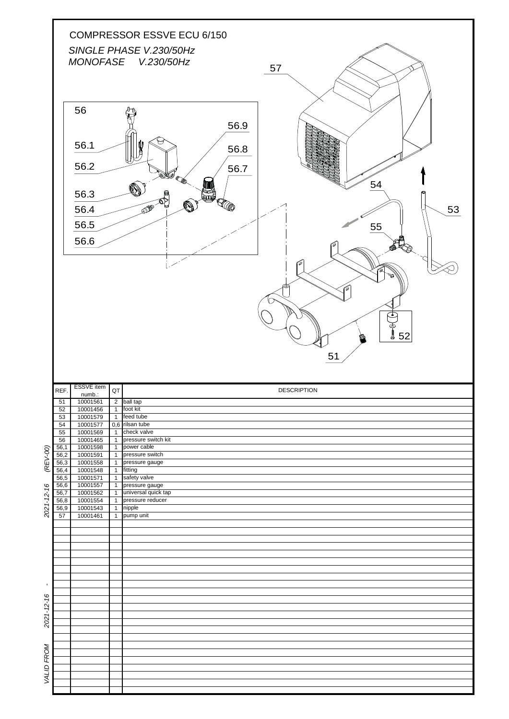|                                                              |                       |                                                    |                                  | COMPRESSOR ESSVE ECU 6/150<br>SINGLE PHASE V.230/50Hz<br>MONOFASE V.230/50Hz<br>57                                |
|--------------------------------------------------------------|-----------------------|----------------------------------------------------|----------------------------------|-------------------------------------------------------------------------------------------------------------------|
|                                                              |                       | 56<br>56.1<br>56.2<br>56.3<br>56.4<br>56.5<br>56.6 |                                  | 56.9<br><b>The Co</b><br>56.8<br>56.7<br>SK0<br>54<br>KOO<br>OF BUILDING<br>53<br>55<br>`Ø<br>Гô<br>ے<br>52<br>51 |
|                                                              | REF.                  | <b>ESSVE</b> item                                  | QT                               | <b>DESCRIPTION</b>                                                                                                |
|                                                              | 51                    | numb.:<br>10001561                                 |                                  | 2 <b>pairtap</b>                                                                                                  |
|                                                              | 52                    | 10001456                                           |                                  | 1 foot kit<br>feed tube                                                                                           |
|                                                              | 53<br>$\overline{54}$ | 10001579<br>10001577                               | $\overline{1}$                   |                                                                                                                   |
|                                                              | $55$                  |                                                    |                                  |                                                                                                                   |
|                                                              | 56                    | 10001569                                           | $\overline{1}$                   | 0,6 rilsan tube<br>check valve                                                                                    |
|                                                              |                       | 10001465                                           | $\overline{1}$                   | pressure switch kit<br>power cable                                                                                |
|                                                              | 56,1<br>56,2          | 10001598<br>10001591                               | $\overline{1}$<br>$\overline{1}$ | pressure switch                                                                                                   |
|                                                              | 56,3                  | 10001558                                           | $\mathbf{1}$                     | pressure gauge                                                                                                    |
|                                                              | 56,4<br>56,5          | 10001548<br>10001571                               | $\overline{1}$<br>$\overline{1}$ | fitting<br>safety valve                                                                                           |
|                                                              | 56,6                  | 10001557                                           | $\overline{1}$                   | pressure gauge                                                                                                    |
|                                                              | 56,7<br>56,8          | 10001562<br>10001554                               | $\overline{1}$<br>$\overline{1}$ | universal quick tap<br>pressure reducer                                                                           |
|                                                              | 56,9                  | 10001543                                           | $\overline{1}$                   | nipple                                                                                                            |
|                                                              | 57                    | 10001461                                           | $\overline{1}$                   | pump unit                                                                                                         |
|                                                              |                       |                                                    |                                  |                                                                                                                   |
|                                                              |                       |                                                    |                                  |                                                                                                                   |
|                                                              |                       |                                                    |                                  |                                                                                                                   |
|                                                              |                       |                                                    |                                  |                                                                                                                   |
|                                                              |                       |                                                    |                                  |                                                                                                                   |
|                                                              |                       |                                                    |                                  |                                                                                                                   |
|                                                              |                       |                                                    |                                  |                                                                                                                   |
|                                                              |                       |                                                    |                                  |                                                                                                                   |
|                                                              |                       |                                                    |                                  |                                                                                                                   |
|                                                              |                       |                                                    |                                  |                                                                                                                   |
| (REV-00)<br>$2021 - 12 - 16$<br>$\blacksquare$<br>2021-12-16 |                       |                                                    |                                  |                                                                                                                   |
|                                                              |                       |                                                    |                                  |                                                                                                                   |
|                                                              |                       |                                                    |                                  |                                                                                                                   |
|                                                              |                       |                                                    |                                  |                                                                                                                   |
| VALID FROM                                                   |                       |                                                    |                                  |                                                                                                                   |